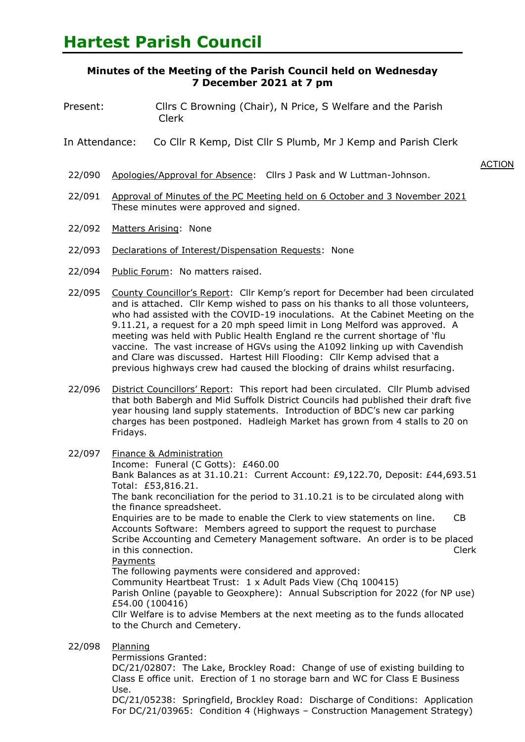# **Minutes of the Meeting of the Parish Council held on Wednesday 7 December 2021 at 7 pm**

- Present: Cllrs C Browning (Chair), N Price, S Welfare and the Parish Clerk
- In Attendance: Co Cllr R Kemp, Dist Cllr S Plumb, Mr J Kemp and Parish Clerk
	- **ACTION** 22/090 Apologies/Approval for Absence: Cllrs J Pask and W Luttman-Johnson.
- 22/091 Approval of Minutes of the PC Meeting held on 6 October and 3 November 2021 These minutes were approved and signed.
- 22/092 Matters Arising: None
- 22/093 Declarations of Interest/Dispensation Requests: None
- 22/094 Public Forum: No matters raised.
- 22/095 County Councillor's Report: Cllr Kemp's report for December had been circulated a and is attached. Cllr Kemp wished to pass on his thanks to all those volunteers, who had assisted with the COVID-19 inoculations. At the Cabinet Meeting on the 9.11.21, a request for a 20 mph speed limit in Long Melford was approved. A meeting was held with Public Health England re the current shortage of 'flu vaccine. The vast increase of HGVs using the A1092 linking up with Cavendish and Clare was discussed. Hartest Hill Flooding: Cllr Kemp advised that a previous highways crew had caused the blocking of drains whilst resurfacing.
- 22/096 District Councillors' Report: This report had been circulated. Cllr Plumb advised that both Babergh and Mid Suffolk District Councils had published their draft five year housing land supply statements. Introduction of BDC's new car parking charges has been postponed. Hadleigh Market has grown from 4 stalls to 20 on Fridays.
- 22/097 Finance & Administration

Income: Funeral (C Gotts): £460.00

Bank Balances as at 31.10.21: Current Account: £9,122.70, Deposit: £44,693.51. Total: £53,816.21.

The bank reconciliation for the period to 31.10.21 is to be circulated along with the finance spreadsheet.

Enquiries are to be made to enable the Clerk to view statements on line. CB Accounts Software: Members agreed to support the request to purchase Scribe Accounting and Cemetery Management software. An order is to be placed in this connection. Clerk

## **Payments**

The following payments were considered and approved:

Community Heartbeat Trust: 1 x Adult Pads View (Chq 100415)

Parish Online (payable to Geoxphere): Annual Subscription for 2022 (for NP use): £54.00 (100416)

Cllr Welfare is to advise Members at the next meeting as to the funds allocated to the Church and Cemetery.

- 22/098 Planning
	- Permissions Granted:

DC/21/02807: The Lake, Brockley Road: Change of use of existing building to Class E office unit. Erection of 1 no storage barn and WC for Class E Business Use.

DC/21/05238: Springfield, Brockley Road: Discharge of Conditions: Application For DC/21/03965: Condition 4 (Highways – Construction Management Strategy)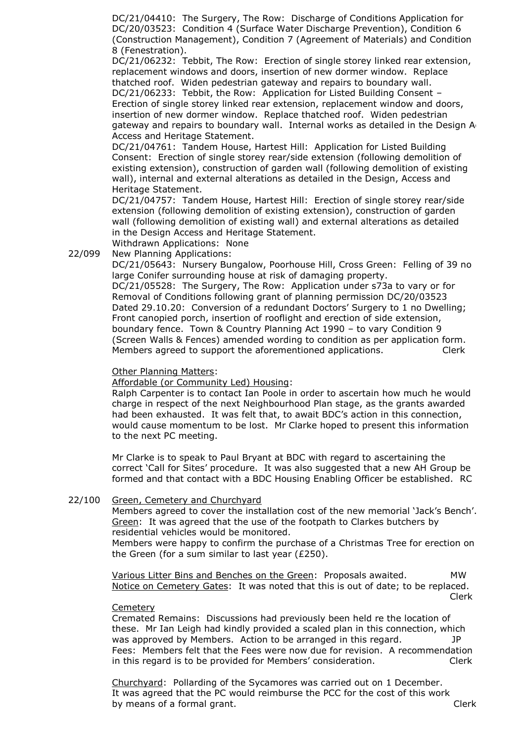DC/21/04410: The Surgery, The Row: Discharge of Conditions Application for DC/20/03523: Condition 4 (Surface Water Discharge Prevention), Condition 6 (Construction Management), Condition 7 (Agreement of Materials) and Condition 8 (Fenestration).

DC/21/06232: Tebbit, The Row: Erection of single storey linked rear extension, replacement windows and doors, insertion of new dormer window. Replace thatched roof. Widen pedestrian gateway and repairs to boundary wall. DC/21/06233: Tebbit, the Row: Application for Listed Building Consent – Erection of single storey linked rear extension, replacement window and doors, insertion of new dormer window. Replace thatched roof. Widen pedestrian gateway and repairs to boundary wall. Internal works as detailed in the Design A Access and Heritage Statement.

DC/21/04761: Tandem House, Hartest Hill: Application for Listed Building Consent: Erection of single storey rear/side extension (following demolition of existing extension), construction of garden wall (following demolition of existing wall), internal and external alterations as detailed in the Design, Access and Heritage Statement.

DC/21/04757: Tandem House, Hartest Hill: Erection of single storey rear/side extension (following demolition of existing extension), construction of garden wall (following demolition of existing wall) and external alterations as detailed in the Design Access and Heritage Statement.

Withdrawn Applications: None

22/099 New Planning Applications:

> DC/21/05643: Nursery Bungalow, Poorhouse Hill, Cross Green: Felling of 39 no large Conifer surrounding house at risk of damaging property. DC/21/05528: The Surgery, The Row: Application under s73a to vary or for Removal of Conditions following grant of planning permission DC/20/03523 Dated 29.10.20: Conversion of a redundant Doctors' Surgery to 1 no Dwelling; Front canopied porch, insertion of rooflight and erection of side extension, boundary fence. Town & Country Planning Act 1990 – to vary Condition 9 (Screen Walls & Fences) amended wording to condition as per application form. Members agreed to support the aforementioned applications. Clerk

## Other Planning Matters:

Affordable (or Community Led) Housing:

Ralph Carpenter is to contact Ian Poole in order to ascertain how much he would charge in respect of the next Neighbourhood Plan stage, as the grants awarded had been exhausted. It was felt that, to await BDC's action in this connection, would cause momentum to be lost. Mr Clarke hoped to present this information to the next PC meeting.

Mr Clarke is to speak to Paul Bryant at BDC with regard to ascertaining the correct 'Call for Sites' procedure. It was also suggested that a new AH Group be formed and that contact with a BDC Housing Enabling Officer be established. RC

#### 22/100 Green, Cemetery and Churchyard

Members agreed to cover the installation cost of the new memorial 'Jack's Bench'. Green: It was agreed that the use of the footpath to Clarkes butchers by residential vehicles would be monitored.

Members were happy to confirm the purchase of a Christmas Tree for erection on the Green (for a sum similar to last year (£250).

Various Litter Bins and Benches on the Green: Proposals awaited. MW Notice on Cemetery Gates: It was noted that this is out of date; to be replaced. en de la construction de la construction de la construction de la construction de la construction de la constr

## **Cemetery**

Cremated Remains: Discussions had previously been held re the location of these. Mr Ian Leigh had kindly provided a scaled plan in this connection, which was approved by Members. Action to be arranged in this regard.  $JP$ Fees: Members felt that the Fees were now due for revision. A recommendation in this regard is to be provided for Members' consideration. Clerk

Churchyard: Pollarding of the Sycamores was carried out on 1 December. It was agreed that the PC would reimburse the PCC for the cost of this work by means of a formal grant. The same state of the control of the clerk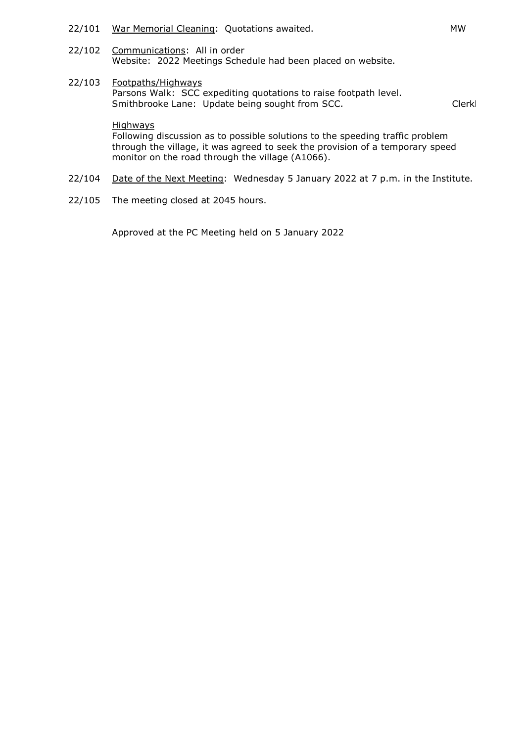- 22/101 War Memorial Cleaning: Quotations awaited. War Memorial Cleaning: Quotations awaited.
- 22/102 Communications: All in order Website: 2022 Meetings Schedule had been placed on website.
- 22/103 Footpaths/Highways Parsons Walk: SCC expediting quotations to raise footpath level. Smithbrooke Lane: Update being sought from SCC. The Clerk Clerk

### **Highways**

Following discussion as to possible solutions to the speeding traffic problem through the village, it was agreed to seek the provision of a temporary speed monitor on the road through the village (A1066).

- 22/104 Date of the Next Meeting: Wednesday 5 January 2022 at 7 p.m. in the Institute.
- 22/105 The meeting closed at 2045 hours.

Approved at the PC Meeting held on 5 January 2022